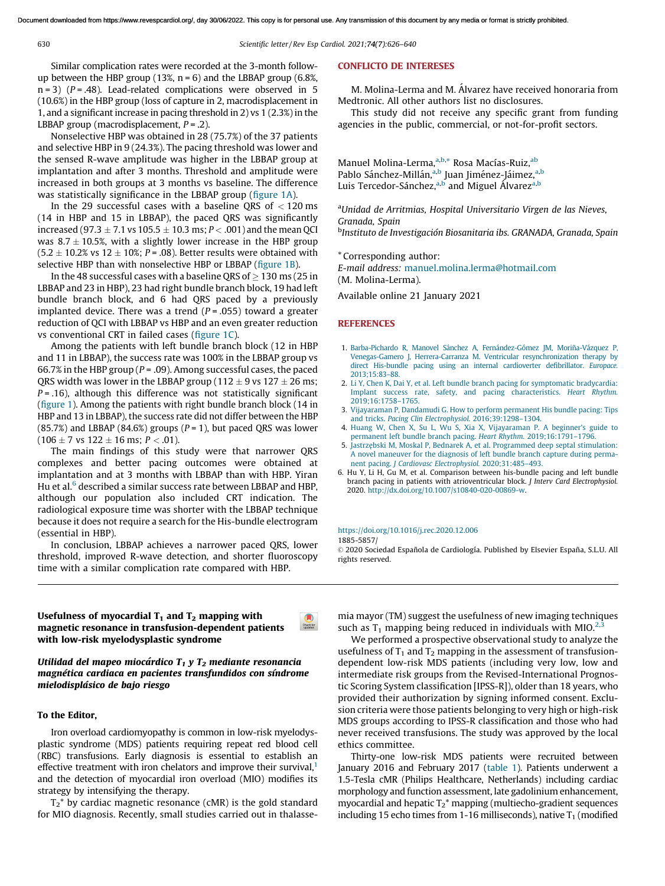<span id="page-0-0"></span>

630 *Scientific letter/ Rev Esp Cardiol. 2021;*74(7)*:626–640*

Similar complication rates were recorded at the 3-month followup between the HBP group (13%,  $n = 6$ ) and the LBBAP group (6.8%,  $n = 3$ ) ( $P = .48$ ). Lead-related complications were observed in 5 (10.6%) in the HBP group (loss of capture in 2, macrodisplacement in 1, and a significant increase in pacing threshold in 2) vs  $1(2.3%)$  in the LBBAP group (macrodisplacement, *P* = .2).

Nonselective HBP was obtained in 28 (75.7%) of the 37 patients and selective HBP in 9 (24.3%). The pacing threshold was lower and the sensed R-wave amplitude was higher in the LBBAP group at implantation and after 3 months. Threshold and amplitude were increased in both groups at 3 months vs baseline. The difference was statistically significance in the LBBAP group (figure 1A).

In the 29 successful cases with a baseline QRS of  $<$  120 ms (14 in HBP and 15 in LBBAP), the paced QRS was significantly increased (97.3  $\pm$  7.1 vs 105.5  $\pm$  10.3 ms; *P* < .001) and the mean QCI was  $8.7 \pm 10.5$ %, with a slightly lower increase in the HBP group  $(5.2 \pm 10.2\% \text{ vs } 12 \pm 10\%; P = .08)$ . Better results were obtained with selective HBP than with nonselective HBP or LBBAP (figure 1B).

In the 48 successful cases with a baseline QRS of  $\geq$  130 ms (25 in LBBAP and 23 in HBP), 23 had right bundle branch block, 19 had left bundle branch block, and 6 had QRS paced by a previously implanted device. There was a trend  $(P = .055)$  toward a greater reduction of QCI with LBBAP vs HBP and an even greater reduction vs conventional CRT in failed cases (figure 1C).

Among the patients with left bundle branch block (12 in HBP and 11 in LBBAP), the success rate was 100% in the LBBAP group vs 66.7% in the HBP group (*P* = .09). Among successful cases, the paced QRS width was lower in the LBBAP group (112  $\pm$  9 vs 127  $\pm$  26 ms;  $P = .16$ ), although this difference was not statistically significant (figure 1). Among the patients with right bundle branch block (14 in HBP and 13 in LBBAP), the success rate did not differ between the HBP  $(85.7%)$  and LBBAP  $(84.6%)$  groups  $(P = 1)$ , but paced QRS was lower  $(106 \pm 7 \text{ vs } 122 \pm 16 \text{ ms}; P < .01).$ 

The main findings of this study were that narrower QRS complexes and better pacing outcomes were obtained at implantation and at 3 months with LBBAP than with HBP. Yiran Hu et al.<sup>6</sup> described a similar success rate between LBBAP and HBP, although our population also included CRT indication. The radiological exposure time was shorter with the LBBAP technique because it does not require a search for the His-bundle electrogram (essential in HBP).

In conclusion, LBBAP achieves a narrower paced QRS, lower threshold, improved R-wave detection, and shorter fluoroscopy time with a similar complication rate compared with HBP.

## Usefulness of myocardial  $T_1$  and  $T_2$  mapping with magnetic resonance in transfusion-dependent patients with low-risk myelodysplastic syndrome

Utilidad del mapeo miocárdico  $T_1$  y  $T_2$  mediante resonancia magnética cardiaca en pacientes transfundidos con síndrome mielodispla´sico de bajo riesgo

# To the Editor,

Iron overload cardiomyopathy is common in low-risk myelodysplastic syndrome (MDS) patients requiring repeat red blood cell (RBC) transfusions. Early diagnosis is essential to establish an effective treatment with iron chelators and improve their survival,<sup>[1](#page-3-0)</sup> and the detection of myocardial iron overload (MIO) modifies its strategy by intensifying the therapy.

 $T_2^*$  by cardiac magnetic resonance (cMR) is the gold standard for MIO diagnosis. Recently, small studies carried out in thalasse-

#### CONFLICTO DE INTERESES

M. Molina-Lerma and M. Álvarez have received honoraria from Medtronic. All other authors list no disclosures.

This study did not receive any specific grant from funding agencies in the public, commercial, or not-for-profit sectors.

Manuel Molina-Lerma, a,b,\* Rosa Macías-Ruiz, ab Pablo Sánchez-Millán,<sup>a,b</sup> Juan Jiménez-Jáimez,<sup>a,b</sup> Luis Tercedor-Sánchez,<sup>a,b</sup> and Miguel Álvarez<sup>a,b</sup>

<sup>a</sup>*Unidad de Arritmias, Hospital Universitario Virgen de las Nieves, Granada, Spain* b *Instituto de Investigacio´n Biosanitaria ibs. GRANADA, Granada, Spain*

\* Corresponding author:

*E-mail address:* [manuel.molina.lerma@hotmail.com](mailto:manuel.molina.lerma@hotmail.com) (M. Molina-Lerma).

Available online 21 January 2021

#### REFERENCES

- 1. Barba-Pichardo R, Manovel Sánchez A, Fernández-Gómez JM, Moriña-Vázquez P, Venegas-Gamero J, Herrera-Carranza M. Ventricular [resynchronization](http://refhub.elsevier.com/S1885-5857(20)30540-5/sbref0035) therapy by direct His-bundle pacing using an internal cardioverter [defibrillator.](http://refhub.elsevier.com/S1885-5857(20)30540-5/sbref0035) *Europace.* [2013;15:83–88.](http://refhub.elsevier.com/S1885-5857(20)30540-5/sbref0035)
- 2. Li Y, Chen K, Dai Y, et al. Left bundle branch pacing for [symptomatic](http://refhub.elsevier.com/S1885-5857(20)30540-5/sbref0040) bradycardia: Implant success rate, safety, and pacing [characteristics.](http://refhub.elsevier.com/S1885-5857(20)30540-5/sbref0040) *Heart Rhythm.* [2019;16:1758–1765.](http://refhub.elsevier.com/S1885-5857(20)30540-5/sbref0040)
- 3. [Vijayaraman](http://refhub.elsevier.com/S1885-5857(20)30540-5/sbref0045) P, Dandamudi G. How to perform permanent His bundle pacing: Tips and tricks. *Pacing Clin Electrophysiol.* [2016;39:1298–1304.](http://refhub.elsevier.com/S1885-5857(20)30540-5/sbref0045)
- 4. Huang W, Chen X, Su L, Wu S, Xia X, [Vijayaraman](http://refhub.elsevier.com/S1885-5857(20)30540-5/sbref0050) P. A beginner's guide to permanent left bundle branch pacing. *Heart Rhythm.* [2019;16:1791–1796.](http://refhub.elsevier.com/S1885-5857(20)30540-5/sbref0050)
- 5. Jastrzębski M, Moskal P, Bednarek A, et al. [Programmed](http://refhub.elsevier.com/S1885-5857(20)30540-5/sbref0055) deep septal stimulation: A novel [maneuver](http://refhub.elsevier.com/S1885-5857(20)30540-5/sbref0055) for the diagnosis of left bundle branch capture during permanent pacing. *J Cardiovasc Electrophysiol.* [2020;31:485–493](http://refhub.elsevier.com/S1885-5857(20)30540-5/sbref0055).
- 6. Hu Y, Li H, Gu M, et al. Comparison between his-bundle pacing and left bundle branch pacing in patients with atrioventricular block. *J Interv Card Electrophysiol.* 2020. <http://dx.doi.org/10.1007/s10840-020-00869-w>.

#### <https://doi.org/10.1016/j.rec.2020.12.006>

1885-5857/

 $\blacksquare$ 

© 2020 Sociedad Española de Cardiología. Published by Elsevier España, S.L.U. All rights reserved.

mia mayor (TM) suggest the usefulness of new imaging techniques such as  $T_1$  mapping being reduced in individuals with MIO.<sup>[2,3](#page-3-0)</sup>

We performed a prospective observational study to analyze the usefulness of  $T_1$  and  $T_2$  mapping in the assessment of transfusiondependent low-risk MDS patients (including very low, low and intermediate risk groups from the Revised-International Prognostic Scoring System classification [IPSS-R]), older than 18 years, who provided their authorization by signing informed consent. Exclusion criteria were those patients belonging to very high or high-risk MDS groups according to IPSS-R classification and those who had never received transfusions. The study was approved by the local ethics committee.

Thirty-one low-risk MDS patients were recruited between January 2016 and February 2017 (table 1). Patients underwent a 1.5-Tesla cMR (Philips Healthcare, Netherlands) including cardiac morphology and function assessment, late gadolinium enhancement, myocardial and hepatic  $T_2^*$  mapping (multiecho-gradient sequences including 15 echo times from 1-16 milliseconds), native  $T_1$  (modified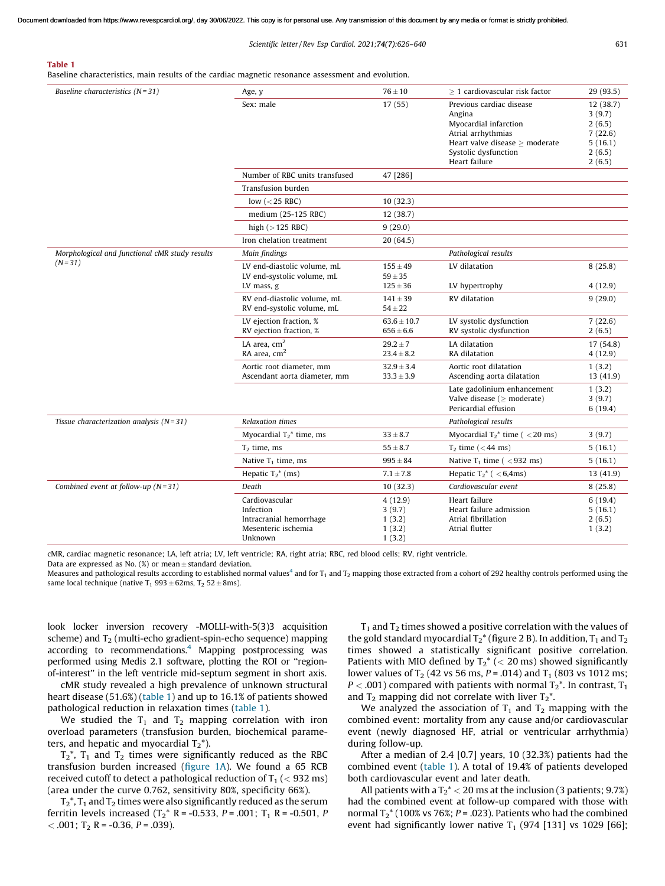*Scientific letter/ Rev Esp Cardiol. 2021;*74(7)*:626–640* 631

Baseline characteristics, main results of the cardiac magnetic resonance assessment and evolution.

Table 1

| Baseline characteristics $(N=31)$                          | Age, y                                                    | $76 \pm 10$                      | $\geq$ 1 cardiovascular risk factor                                                     | 29 (93.5)                     |
|------------------------------------------------------------|-----------------------------------------------------------|----------------------------------|-----------------------------------------------------------------------------------------|-------------------------------|
|                                                            | Sex: male                                                 | 17(55)                           | Previous cardiac disease<br>Angina<br>Myocardial infarction                             | 12 (38.7)<br>3(9.7)<br>2(6.5) |
|                                                            |                                                           |                                  | Atrial arrhythmias                                                                      | 7(22.6)                       |
|                                                            |                                                           |                                  | Heart valve disease $\geq$ moderate<br>Systolic dysfunction                             | 5(16.1)<br>2(6.5)             |
|                                                            |                                                           |                                  | Heart failure                                                                           | 2(6.5)                        |
|                                                            | Number of RBC units transfused                            | 47 [286]                         |                                                                                         |                               |
|                                                            | Transfusion burden                                        |                                  |                                                                                         |                               |
|                                                            | low ( $<$ 25 RBC)                                         | 10(32.3)                         |                                                                                         |                               |
|                                                            | medium (25-125 RBC)                                       | 12 (38.7)                        |                                                                                         |                               |
|                                                            | high $(>125$ RBC)                                         | 9(29.0)                          |                                                                                         |                               |
|                                                            | Iron chelation treatment                                  | 20 (64.5)                        |                                                                                         |                               |
| Morphological and functional cMR study results<br>$(N=31)$ | Main findings                                             |                                  | Pathological results                                                                    |                               |
|                                                            | LV end-diastolic volume, mL<br>LV end-systolic volume, mL | $155 \pm 49$<br>$59 \pm 35$      | LV dilatation                                                                           | 8(25.8)                       |
|                                                            | LV mass, g                                                | $125 \pm 36$                     | LV hypertrophy                                                                          | 4(12.9)                       |
|                                                            | RV end-diastolic volume, mL<br>RV end-systolic volume, mL | $141 \pm 39$<br>$54 \pm 22$      | RV dilatation                                                                           | 9(29.0)                       |
|                                                            | LV ejection fraction, %<br>RV ejection fraction, %        | $63.6 \pm 10.7$<br>$656 \pm 6.6$ | LV systolic dysfunction<br>RV systolic dysfunction                                      | 7(22.6)<br>2(6.5)             |
|                                                            | LA area, $cm2$<br>RA area, cm <sup>2</sup>                | $29.2 \pm 7$<br>$23.4 \pm 8.2$   | LA dilatation<br>RA dilatation                                                          | 17 (54.8)<br>4(12.9)          |
|                                                            | Aortic root diameter, mm<br>Ascendant aorta diameter, mm  | $32.9 \pm 3.4$<br>$33.3 \pm 3.9$ | Aortic root dilatation<br>Ascending aorta dilatation                                    | 1(3.2)<br>13 (41.9)           |
|                                                            |                                                           |                                  | Late gadolinium enhancement<br>Valve disease ( $\geq$ moderate)<br>Pericardial effusion | 1(3.2)<br>3(9.7)<br>6(19.4)   |
| Tissue characterization analysis $(N=31)$                  | <b>Relaxation times</b>                                   |                                  | Pathological results                                                                    |                               |
|                                                            | Myocardial $T_2$ <sup>*</sup> time, ms                    | $33 \pm 8.7$                     | Myocardial $T_2^*$ time ( $<$ 20 ms)                                                    | 3(9.7)                        |
|                                                            | $T2$ time, ms                                             | $55 \pm 8.7$                     | $T_2$ time ( $<$ 44 ms)                                                                 | 5(16.1)                       |
|                                                            | Native $T_1$ time, ms                                     | $995 \pm 84$                     | Native $T_1$ time ( $<$ 932 ms)                                                         | 5(16.1)                       |
|                                                            | Hepatic $T_2^*$ (ms)                                      | $7.1 \pm 7.8$                    | Hepatic $T_2^*$ ( $<$ 6,4ms)                                                            | 13 (41.9)                     |
| Combined event at follow-up $(N=31)$                       | Death                                                     | 10(32.3)                         | Cardiovascular event                                                                    | 8(25.8)                       |
|                                                            | Cardiovascular                                            | 4(12.9)                          | Heart failure                                                                           | 6(19.4)                       |
|                                                            | Infection<br>Intracranial hemorrhage                      | 3(9.7)                           | Heart failure admission<br>Atrial fibrillation                                          | 5(16.1)                       |
|                                                            | Mesenteric ischemia                                       | 1(3.2)<br>1(3.2)                 | Atrial flutter                                                                          | 2(6.5)<br>1(3.2)              |
|                                                            | Unknown                                                   | 1(3.2)                           |                                                                                         |                               |

cMR, cardiac magnetic resonance; LA, left atria; LV, left ventricle; RA, right atria; RBC, red blood cells; RV, right ventricle.

Data are expressed as No.  $(\%)$  or mean  $\pm$  standard deviation.

Measures and pathological results according to established normal values<sup>4</sup> and for T<sub>1</sub> and T<sub>2</sub> mapping those extracted from a cohort of 292 healthy controls performed using the same local technique (native T<sub>1</sub> 993  $\pm$  62ms, T<sub>2</sub> 52  $\pm$  8ms).

look locker inversion recovery -MOLLI-with-5(3)3 acquisition scheme) and  $T<sub>2</sub>$  (multi-echo gradient-spin-echo sequence) mapping according to recommendations.<sup>[4](#page-3-0)</sup> Mapping postprocessing was performed using Medis 2.1 software, plotting the ROI or ''regionof-interest'' in the left ventricle mid-septum segment in short axis.

cMR study revealed a high prevalence of unknown structural heart disease (51.6%) (table 1) and up to 16.1% of patients showed pathological reduction in relaxation times (table 1).

We studied the  $T_1$  and  $T_2$  mapping correlation with iron overload parameters (transfusion burden, biochemical parameters, and hepatic and myocardial  $T_2^*$ ).

 $T_2^*$ ,  $T_1$  and  $T_2$  times were significantly reduced as the RBC transfusion burden increased (figure 1A). We found a 65 RCB received cutoff to detect a pathological reduction of  $T_1$  (< 932 ms) (area under the curve 0.762, sensitivity 80%, specificity 66%).

 $T_2^*$ ,  $T_1$  and  $T_2$  times were also significantly reduced as the serum ferritin levels increased  $(T_2^* R = -0.533, P = .001; T_1 R = -0.501, P$  $<$  .001; T<sub>2</sub> R = -0.36, P = .039).

 $T_1$  and  $T_2$  times showed a positive correlation with the values of the gold standard myocardial  $T_2^*$  (figure 2 B). In addition,  $T_1$  and  $T_2$ times showed a statistically significant positive correlation. Patients with MIO defined by  $T_2^*$  (< 20 ms) showed significantly lower values of  $T_2$  (42 vs 56 ms,  $P = .014$ ) and  $T_1$  (803 vs 1012 ms;  $P < .001$ ) compared with patients with normal  $T_2^*$ . In contrast,  $T_1$ and  $T_2$  mapping did not correlate with liver  $T_2^*$ .

We analyzed the association of  $T_1$  and  $T_2$  mapping with the combined event: mortality from any cause and/or cardiovascular event (newly diagnosed HF, atrial or ventricular arrhythmia) during follow-up.

After a median of 2.4 [0.7] years, 10 (32.3%) patients had the combined event (table 1). A total of 19.4% of patients developed both cardiovascular event and later death.

All patients with a  $T_2^* < 20$  ms at the inclusion (3 patients; 9.7%) had the combined event at follow-up compared with those with normal  $T_2^*$  (100% vs 76%;  $P = .023$ ). Patients who had the combined event had significantly lower native  $T_1$  (974 [131] vs 1029 [66];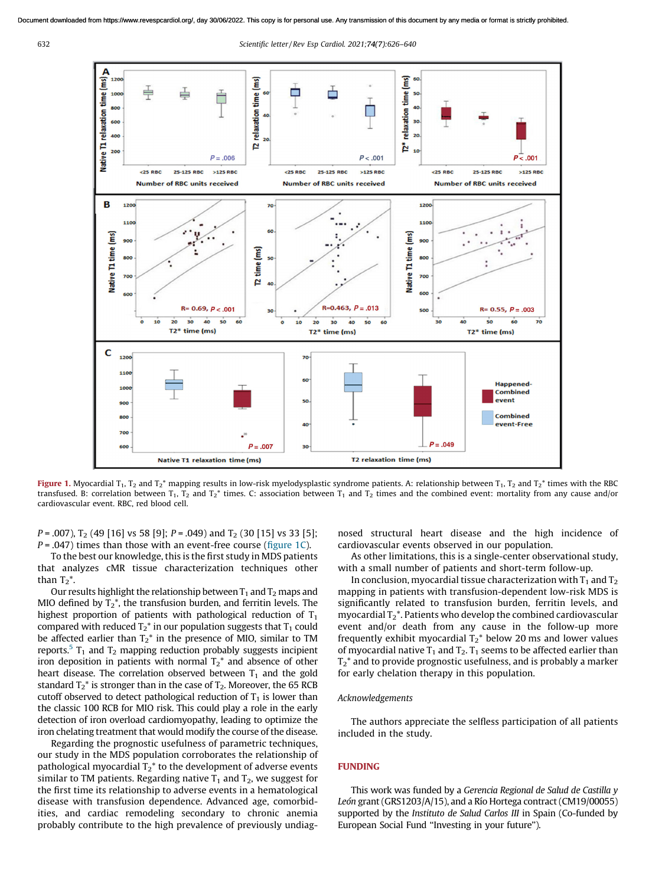632 *Scientific letter/ Rev Esp Cardiol. 2021;*74(7)*:626–640*



Figure 1. Myocardial T<sub>1</sub>, T<sub>2</sub> and T<sub>2</sub><sup>\*</sup> mapping results in low-risk myelodysplastic syndrome patients. A: relationship between T<sub>1</sub>, T<sub>2</sub> and T<sub>2</sub><sup>\*</sup> times with the RBC transfused. B: correlation between  $T_1$ ,  $T_2$  and  $T_2^*$  times. C: association between  $T_1$  and  $T_2$  times and the combined event: mortality from any cause and/or cardiovascular event. RBC, red blood cell.

*P* = .007), T<sub>2</sub> (49 [16] vs 58 [9]; *P* = .049) and T<sub>2</sub> (30 [15] vs 33 [5]; *P* = .047) times than those with an event-free course (figure 1C).

To the best our knowledge, this is the first study in MDS patients that analyzes cMR tissue characterization techniques other than  $T_2^*$ .

Our results highlight the relationship between  $T_1$  and  $T_2$  maps and MIO defined by  $T_2^*$ , the transfusion burden, and ferritin levels. The highest proportion of patients with pathological reduction of  $T_1$ compared with reduced  $T_2^*$  in our population suggests that  $T_1$  could be affected earlier than  $T_2^*$  in the presence of MIO, similar to TM reports.<sup>[5](#page-3-0)</sup>  $T_1$  and  $T_2$  mapping reduction probably suggests incipient iron deposition in patients with normal  $T_2^*$  and absence of other heart disease. The correlation observed between  $T_1$  and the gold standard  $T_2^*$  is stronger than in the case of  $T_2$ . Moreover, the 65 RCB cutoff observed to detect pathological reduction of  $T_1$  is lower than the classic 100 RCB for MIO risk. This could play a role in the early detection of iron overload cardiomyopathy, leading to optimize the iron chelating treatment that would modify the course of the disease.

Regarding the prognostic usefulness of parametric techniques, our study in the MDS population corroborates the relationship of pathological myocardial  $T_2^*$  to the development of adverse events similar to TM patients. Regarding native  $T_1$  and  $T_2$ , we suggest for the first time its relationship to adverse events in a hematological disease with transfusion dependence. Advanced age, comorbidities, and cardiac remodeling secondary to chronic anemia probably contribute to the high prevalence of previously undiagnosed structural heart disease and the high incidence of cardiovascular events observed in our population.

As other limitations, this is a single-center observational study, with a small number of patients and short-term follow-up.

In conclusion, myocardial tissue characterization with  $T_1$  and  $T_2$ mapping in patients with transfusion-dependent low-risk MDS is significantly related to transfusion burden, ferritin levels, and myocardial  $T_2^*$ . Patients who develop the combined cardiovascular event and/or death from any cause in the follow-up more frequently exhibit myocardial  $T_2^*$  below 20 ms and lower values of myocardial native  $T_1$  and  $T_2$ .  $T_1$  seems to be affected earlier than  $T_2^*$  and to provide prognostic usefulness, and is probably a marker for early chelation therapy in this population.

### *Acknowledgements*

The authors appreciate the selfless participation of all patients included in the study.

### FUNDING

This work was funded by a *Gerencia Regional de Salud de Castilla y* León grant (GRS1203/A/15), and a Río Hortega contract (CM19/00055) supported by the *Instituto de Salud Carlos III* in Spain (Co-funded by European Social Fund ''Investing in your future'').